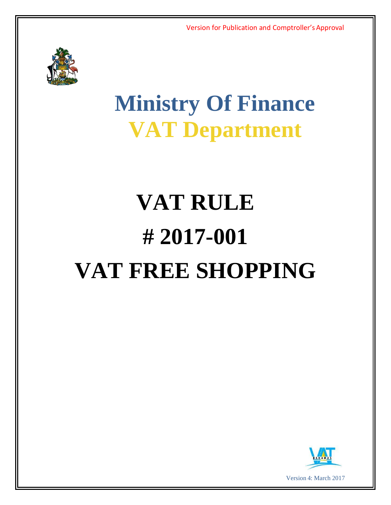

# **Ministry Of Finance VAT Department**

# **VAT RULE # 2017-001 VAT FREE SHOPPING**

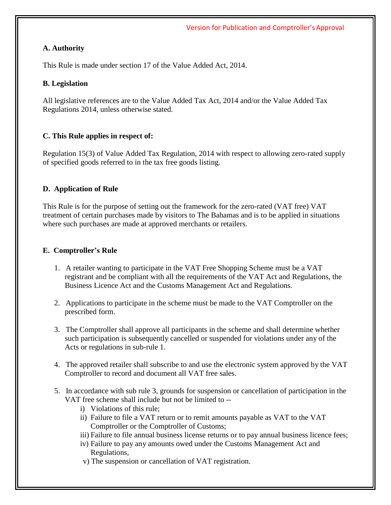#### **A. Authority**

This Rule is made under section 17 of the Value Added Act, 2014.

#### **B. Legislation**

All legislative references are to the Value Added Tax Act, 2014 and/or the Value Added Tax Regulations 2014, unless otherwise stated.

## **C. This Rule applies in respect of:**

Regulation 15(3) of Value Added Tax Regulation, 2014 with respect to allowing zero-rated supply of specified goods referred to in the tax free goods listing.

## **D. Application of Rule**

This Rule is for the purpose of setting out the framework for the zero-rated (VAT free) VAT treatment of certain purchases made by visitors to The Bahamas and is to be applied in situations where such purchases are made at approved merchants or retailers.

#### **E. Comptroller's Rule**

- 1. A retailer wanting to participate in the VAT Free Shopping Scheme must be a VAT registrant and be compliant with all the requirements of the VAT Act and Regulations, the Business Licence Act and the Customs Management Act and Regulations.
- 2. Applications to participate in the scheme must be made to the VAT Comptroller on the prescribed form.
- 3. The Comptroller shall approve all participants in the scheme and shall determine whether such participation is subsequently cancelled or suspended for violations under any of the Acts or regulations in sub-rule 1.
- 4. The approved retailer shall subscribe to and use the electronic system approved by the VAT Comptroller to record and document all VAT free sales.
- 5. In accordance with sub rule 3, grounds for suspension or cancellation of participation in the VAT free scheme shall include but not be limited to -
	- i) Violations of this rule;
	- ii) Failure to file a VAT return or to remit amounts payable as VAT to the VAT Comptroller or the Comptroller of Customs;
	- iii) Failure to file annual business license returns or to pay annual business licence fees;
	- iv) Failure to pay any amounts owed under the Customs Management Act and Regulations,
	- v) The suspension or cancellation of VAT registration.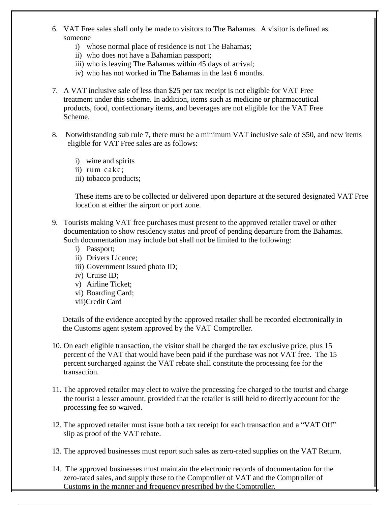- 6. VAT Free sales shall only be made to visitors to The Bahamas. A visitor is defined as someone
	- i) whose normal place of residence is not The Bahamas;
	- ii) who does not have a Bahamian passport;
	- iii) who is leaving The Bahamas within 45 days of arrival;
	- iv) who has not worked in The Bahamas in the last 6 months.
- 7. A VAT inclusive sale of less than \$25 per tax receipt is not eligible for VAT Free treatment under this scheme. In addition, items such as medicine or pharmaceutical products, food, confectionary items, and beverages are not eligible for the VAT Free Scheme.
- 8. Notwithstanding sub rule 7, there must be a minimum VAT inclusive sale of \$50, and new items eligible for VAT Free sales are as follows:
	- i) wine and spirits
	- ii) rum cake;
	- iii) tobacco products;

These items are to be collected or delivered upon departure at the secured designated VAT Free location at either the airport or port zone.

- 9. Tourists making VAT free purchases must present to the approved retailer travel or other documentation to show residency status and proof of pending departure from the Bahamas. Such documentation may include but shall not be limited to the following:
	- i) Passport;
	- ii) Drivers Licence;
	- iii) Government issued photo ID;
	- iv) Cruise ID;
	- v) Airline Ticket;
	- vi) Boarding Card;
	- vii)Credit Card

Details of the evidence accepted by the approved retailer shall be recorded electronically in the Customs agent system approved by the VAT Comptroller.

- 10. On each eligible transaction, the visitor shall be charged the tax exclusive price, plus 15 percent of the VAT that would have been paid if the purchase was not VAT free. The 15 percent surcharged against the VAT rebate shall constitute the processing fee for the transaction.
- 11. The approved retailer may elect to waive the processing fee charged to the tourist and charge the tourist a lesser amount, provided that the retailer is still held to directly account for the processing fee so waived.
- 12. The approved retailer must issue both a tax receipt for each transaction and a "VAT Off" slip as proof of the VAT rebate.

13. The approved businesses must report such sales as zero-rated supplies on the VAT Return.

14. The approved businesses must maintain the electronic records of documentation for the zero-rated sales, and supply these to the Comptroller of VAT and the Comptroller of Customs in the manner and frequency prescribed by the Comptroller.

Customs in the manner and frequency prescribed by the Comptroller.